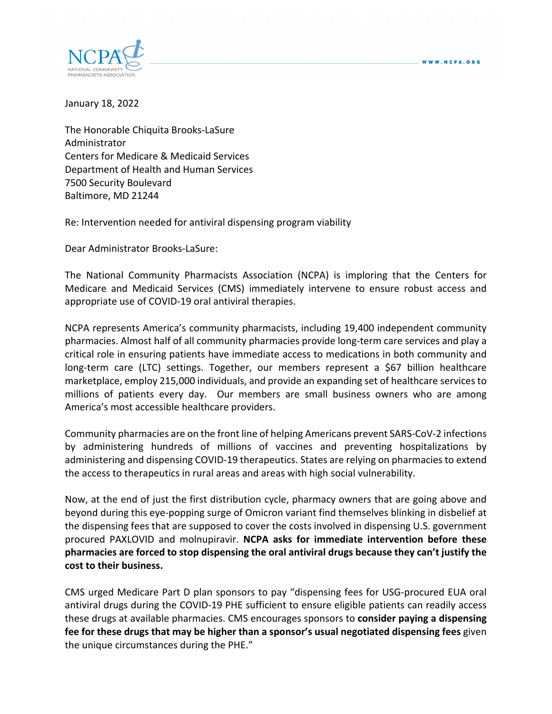

January 18, 2022

The Honorable Chiquita Brooks‐LaSure Administrator Centers for Medicare & Medicaid Services Department of Health and Human Services 7500 Security Boulevard Baltimore, MD 21244

Re: Intervention needed for antiviral dispensing program viability

Dear Administrator Brooks‐LaSure:

The National Community Pharmacists Association (NCPA) is imploring that the Centers for Medicare and Medicaid Services (CMS) immediately intervene to ensure robust access and appropriate use of COVID‐19 oral antiviral therapies.

NCPA represents America's community pharmacists, including 19,400 independent community pharmacies. Almost half of all community pharmacies provide long‐term care services and play a critical role in ensuring patients have immediate access to medications in both community and long-term care (LTC) settings. Together, our members represent a \$67 billion healthcare marketplace, employ 215,000 individuals, and provide an expanding set of healthcare services to millions of patients every day. Our members are small business owners who are among America's most accessible healthcare providers.

Community pharmacies are on the front line of helping Americans prevent SARS‐CoV‐2 infections by administering hundreds of millions of vaccines and preventing hospitalizations by administering and dispensing COVID‐19 therapeutics. States are relying on pharmacies to extend the access to therapeutics in rural areas and areas with high social vulnerability.

Now, at the end of just the first distribution cycle, pharmacy owners that are going above and beyond during this eye‐popping surge of Omicron variant find themselves blinking in disbelief at the dispensing fees that are supposed to cover the costs involved in dispensing U.S. government procured PAXLOVID and molnupiravir. **NCPA asks for immediate intervention before these pharmacies are forced to stop dispensing the oral antiviral drugs because they can't justify the cost to their business.**

CMS urged Medicare Part D plan sponsors to pay "dispensing fees for USG‐procured EUA oral antiviral drugs during the COVID‐19 PHE sufficient to ensure eligible patients can readily access these drugs at available pharmacies. CMS encourages sponsors to **consider paying a dispensing fee for these drugs that may be higher than a sponsor's usual negotiated dispensing fees** given the unique circumstances during the PHE."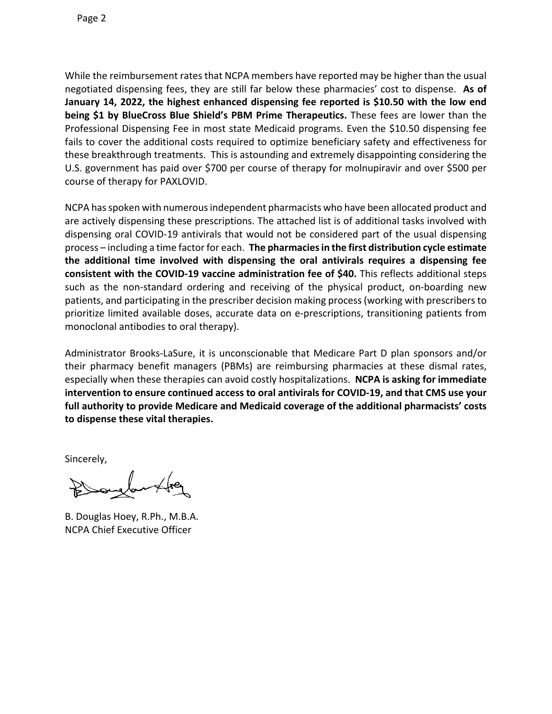While the reimbursement rates that NCPA members have reported may be higher than the usual negotiated dispensing fees, they are still far below these pharmacies' cost to dispense. **As of January 14, 2022, the highest enhanced dispensing fee reported is \$10.50 with the low end being \$1 by BlueCross Blue Shield's PBM Prime Therapeutics.** These fees are lower than the Professional Dispensing Fee in most state Medicaid programs. Even the \$10.50 dispensing fee fails to cover the additional costs required to optimize beneficiary safety and effectiveness for these breakthrough treatments. This is astounding and extremely disappointing considering the U.S. government has paid over \$700 per course of therapy for molnupiravir and over \$500 per course of therapy for PAXLOVID.

NCPA has spoken with numerous independent pharmacists who have been allocated product and are actively dispensing these prescriptions. The attached list is of additional tasks involved with dispensing oral COVID‐19 antivirals that would not be considered part of the usual dispensing process – including a time factorfor each. **The pharmaciesin the first distribution cycle estimate the additional time involved with dispensing the oral antivirals requires a dispensing fee consistent with the COVID‐19 vaccine administration fee of \$40.** This reflects additional steps such as the non-standard ordering and receiving of the physical product, on-boarding new patients, and participating in the prescriber decision making process(working with prescribersto prioritize limited available doses, accurate data on e‐prescriptions, transitioning patients from monoclonal antibodies to oral therapy).

Administrator Brooks‐LaSure, it is unconscionable that Medicare Part D plan sponsors and/or their pharmacy benefit managers (PBMs) are reimbursing pharmacies at these dismal rates, especially when these therapies can avoid costly hospitalizations. **NCPA is asking for immediate intervention to ensure continued access to oral antivirals for COVID‐19, and that CMS use your full authority to provide Medicare and Medicaid coverage of the additional pharmacists' costs to dispense these vital therapies.**

Sincerely,

B. Douglas Hoey, R.Ph., M.B.A. NCPA Chief Executive Officer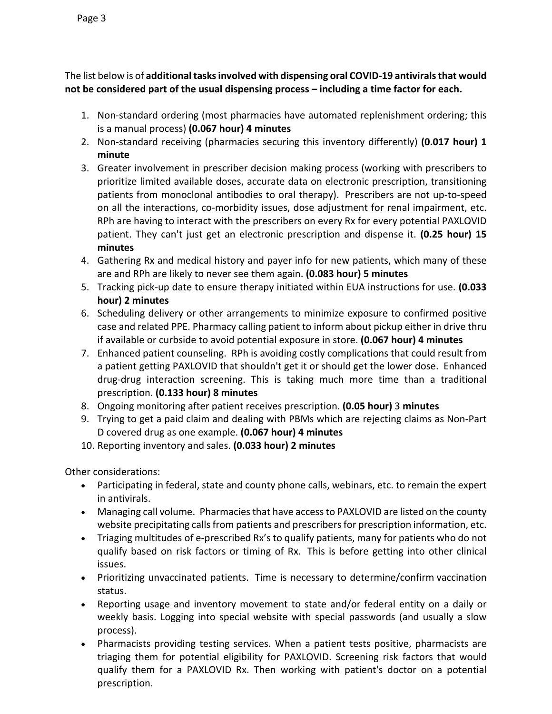The list below is of **additionaltasksinvolved with dispensing oral COVID‐19 antiviralsthat would not be considered part of the usual dispensing process – including a time factor for each.** 

- 1. Non‐standard ordering (most pharmacies have automated replenishment ordering; this is a manual process) **(0.067 hour) 4 minutes**
- 2. Non‐standard receiving (pharmacies securing this inventory differently) **(0.017 hour) 1 minute**
- 3. Greater involvement in prescriber decision making process (working with prescribers to prioritize limited available doses, accurate data on electronic prescription, transitioning patients from monoclonal antibodies to oral therapy). Prescribers are not up‐to‐speed on all the interactions, co-morbidity issues, dose adjustment for renal impairment, etc. RPh are having to interact with the prescribers on every Rx for every potential PAXLOVID patient. They can't just get an electronic prescription and dispense it. **(0.25 hour) 15 minutes**
- 4. Gathering Rx and medical history and payer info for new patients, which many of these are and RPh are likely to never see them again. **(0.083 hour) 5 minutes**
- 5. Tracking pick‐up date to ensure therapy initiated within EUA instructions for use. **(0.033 hour) 2 minutes**
- 6. Scheduling delivery or other arrangements to minimize exposure to confirmed positive case and related PPE. Pharmacy calling patient to inform about pickup either in drive thru if available or curbside to avoid potential exposure in store. **(0.067 hour) 4 minutes**
- 7. Enhanced patient counseling. RPh is avoiding costly complications that could result from a patient getting PAXLOVID that shouldn't get it or should get the lower dose. Enhanced drug‐drug interaction screening. This is taking much more time than a traditional prescription. **(0.133 hour) 8 minutes**
- 8. Ongoing monitoring after patient receives prescription. **(0.05 hour)** 3 **minutes**
- 9. Trying to get a paid claim and dealing with PBMs which are rejecting claims as Non‐Part D covered drug as one example. **(0.067 hour) 4 minutes**
- 10. Reporting inventory and sales. **(0.033 hour) 2 minutes**

Other considerations:

- Participating in federal, state and county phone calls, webinars, etc. to remain the expert in antivirals.
- Managing call volume. Pharmaciesthat have accessto PAXLOVID are listed on the county website precipitating calls from patients and prescribers for prescription information, etc.
- Triaging multitudes of e-prescribed Rx's to qualify patients, many for patients who do not qualify based on risk factors or timing of Rx. This is before getting into other clinical issues.
- Prioritizing unvaccinated patients. Time is necessary to determine/confirm vaccination status.
- Reporting usage and inventory movement to state and/or federal entity on a daily or weekly basis. Logging into special website with special passwords (and usually a slow process).
- Pharmacists providing testing services. When a patient tests positive, pharmacists are triaging them for potential eligibility for PAXLOVID. Screening risk factors that would qualify them for a PAXLOVID Rx. Then working with patient's doctor on a potential prescription.